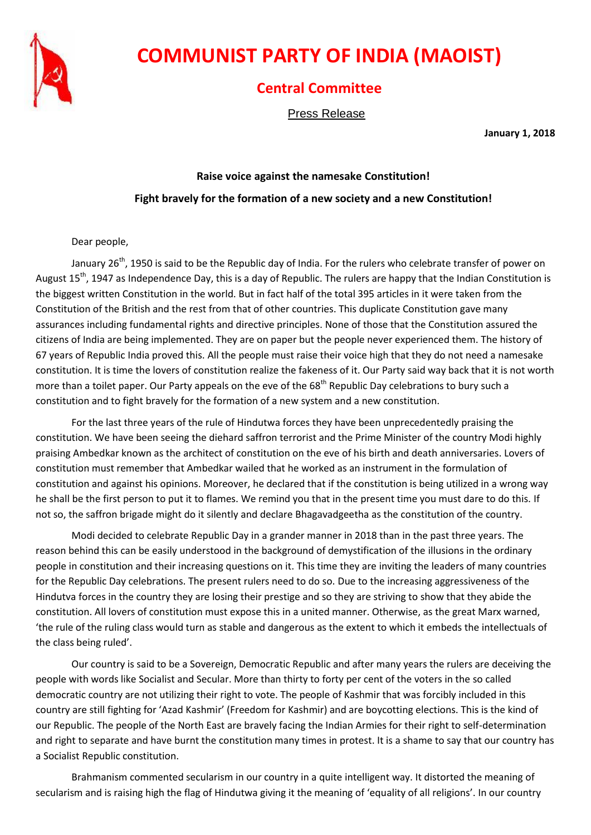

# **COMMUNIST PARTY OF INDIA (MAOIST)**

## **Central Committee**

Press Release

**January 1, 2018**

## **Raise voice against the namesake Constitution! Fight bravely for the formation of a new society and a new Constitution!**

#### Dear people,

January  $26^{th}$ , 1950 is said to be the Republic day of India. For the rulers who celebrate transfer of power on August  $15<sup>th</sup>$ , 1947 as Independence Day, this is a day of Republic. The rulers are happy that the Indian Constitution is the biggest written Constitution in the world. But in fact half of the total 395 articles in it were taken from the Constitution of the British and the rest from that of other countries. This duplicate Constitution gave many assurances including fundamental rights and directive principles. None of those that the Constitution assured the citizens of India are being implemented. They are on paper but the people never experienced them. The history of 67 years of Republic India proved this. All the people must raise their voice high that they do not need a namesake constitution. It is time the lovers of constitution realize the fakeness of it. Our Party said way back that it is not worth more than a toilet paper. Our Party appeals on the eve of the 68<sup>th</sup> Republic Day celebrations to bury such a constitution and to fight bravely for the formation of a new system and a new constitution.

For the last three years of the rule of Hindutwa forces they have been unprecedentedly praising the constitution. We have been seeing the diehard saffron terrorist and the Prime Minister of the country Modi highly praising Ambedkar known as the architect of constitution on the eve of his birth and death anniversaries. Lovers of constitution must remember that Ambedkar wailed that he worked as an instrument in the formulation of constitution and against his opinions. Moreover, he declared that if the constitution is being utilized in a wrong way he shall be the first person to put it to flames. We remind you that in the present time you must dare to do this. If not so, the saffron brigade might do it silently and declare Bhagavadgeetha as the constitution of the country.

Modi decided to celebrate Republic Day in a grander manner in 2018 than in the past three years. The reason behind this can be easily understood in the background of demystification of the illusions in the ordinary people in constitution and their increasing questions on it. This time they are inviting the leaders of many countries for the Republic Day celebrations. The present rulers need to do so. Due to the increasing aggressiveness of the Hindutva forces in the country they are losing their prestige and so they are striving to show that they abide the constitution. All lovers of constitution must expose this in a united manner. Otherwise, as the great Marx warned, 'the rule of the ruling class would turn as stable and dangerous as the extent to which it embeds the intellectuals of the class being ruled'.

Our country is said to be a Sovereign, Democratic Republic and after many years the rulers are deceiving the people with words like Socialist and Secular. More than thirty to forty per cent of the voters in the so called democratic country are not utilizing their right to vote. The people of Kashmir that was forcibly included in this country are still fighting for 'Azad Kashmir' (Freedom for Kashmir) and are boycotting elections. This is the kind of our Republic. The people of the North East are bravely facing the Indian Armies for their right to self-determination and right to separate and have burnt the constitution many times in protest. It is a shame to say that our country has a Socialist Republic constitution.

Brahmanism commented secularism in our country in a quite intelligent way. It distorted the meaning of secularism and is raising high the flag of Hindutwa giving it the meaning of 'equality of all religions'. In our country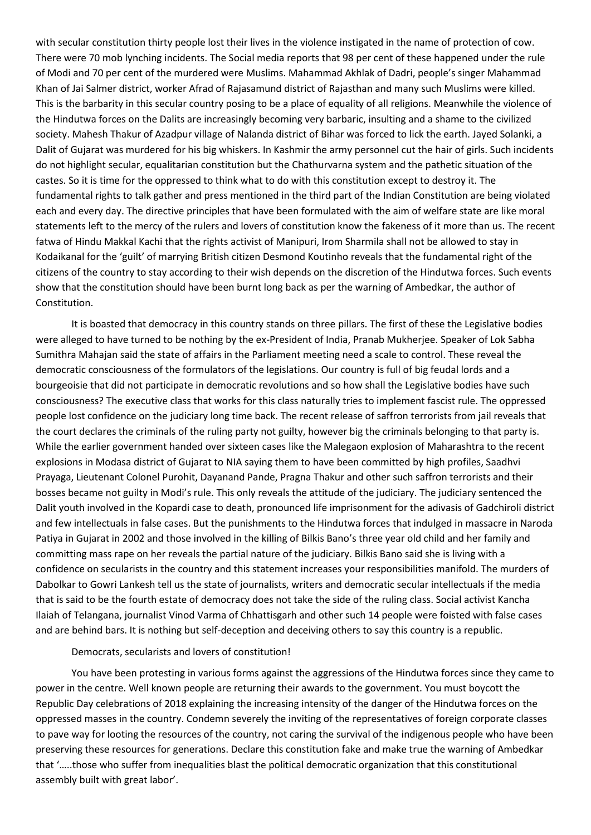with secular constitution thirty people lost their lives in the violence instigated in the name of protection of cow. There were 70 mob lynching incidents. The Social media reports that 98 per cent of these happened under the rule of Modi and 70 per cent of the murdered were Muslims. Mahammad Akhlak of Dadri, people's singer Mahammad Khan of Jai Salmer district, worker Afrad of Rajasamund district of Rajasthan and many such Muslims were killed. This is the barbarity in this secular country posing to be a place of equality of all religions. Meanwhile the violence of the Hindutwa forces on the Dalits are increasingly becoming very barbaric, insulting and a shame to the civilized society. Mahesh Thakur of Azadpur village of Nalanda district of Bihar was forced to lick the earth. Jayed Solanki, a Dalit of Gujarat was murdered for his big whiskers. In Kashmir the army personnel cut the hair of girls. Such incidents do not highlight secular, equalitarian constitution but the Chathurvarna system and the pathetic situation of the castes. So it is time for the oppressed to think what to do with this constitution except to destroy it. The fundamental rights to talk gather and press mentioned in the third part of the Indian Constitution are being violated each and every day. The directive principles that have been formulated with the aim of welfare state are like moral statements left to the mercy of the rulers and lovers of constitution know the fakeness of it more than us. The recent fatwa of Hindu Makkal Kachi that the rights activist of Manipuri, Irom Sharmila shall not be allowed to stay in Kodaikanal for the 'guilt' of marrying British citizen Desmond Koutinho reveals that the fundamental right of the citizens of the country to stay according to their wish depends on the discretion of the Hindutwa forces. Such events show that the constitution should have been burnt long back as per the warning of Ambedkar, the author of Constitution.

It is boasted that democracy in this country stands on three pillars. The first of these the Legislative bodies were alleged to have turned to be nothing by the ex-President of India, Pranab Mukherjee. Speaker of Lok Sabha Sumithra Mahajan said the state of affairs in the Parliament meeting need a scale to control. These reveal the democratic consciousness of the formulators of the legislations. Our country is full of big feudal lords and a bourgeoisie that did not participate in democratic revolutions and so how shall the Legislative bodies have such consciousness? The executive class that works for this class naturally tries to implement fascist rule. The oppressed people lost confidence on the judiciary long time back. The recent release of saffron terrorists from jail reveals that the court declares the criminals of the ruling party not guilty, however big the criminals belonging to that party is. While the earlier government handed over sixteen cases like the Malegaon explosion of Maharashtra to the recent explosions in Modasa district of Gujarat to NIA saying them to have been committed by high profiles, Saadhvi Prayaga, Lieutenant Colonel Purohit, Dayanand Pande, Pragna Thakur and other such saffron terrorists and their bosses became not guilty in Modi's rule. This only reveals the attitude of the judiciary. The judiciary sentenced the Dalit youth involved in the Kopardi case to death, pronounced life imprisonment for the adivasis of Gadchiroli district and few intellectuals in false cases. But the punishments to the Hindutwa forces that indulged in massacre in Naroda Patiya in Gujarat in 2002 and those involved in the killing of Bilkis Bano's three year old child and her family and committing mass rape on her reveals the partial nature of the judiciary. Bilkis Bano said she is living with a confidence on secularists in the country and this statement increases your responsibilities manifold. The murders of Dabolkar to Gowri Lankesh tell us the state of journalists, writers and democratic secular intellectuals if the media that is said to be the fourth estate of democracy does not take the side of the ruling class. Social activist Kancha Ilaiah of Telangana, journalist Vinod Varma of Chhattisgarh and other such 14 people were foisted with false cases and are behind bars. It is nothing but self-deception and deceiving others to say this country is a republic.

#### Democrats, secularists and lovers of constitution!

You have been protesting in various forms against the aggressions of the Hindutwa forces since they came to power in the centre. Well known people are returning their awards to the government. You must boycott the Republic Day celebrations of 2018 explaining the increasing intensity of the danger of the Hindutwa forces on the oppressed masses in the country. Condemn severely the inviting of the representatives of foreign corporate classes to pave way for looting the resources of the country, not caring the survival of the indigenous people who have been preserving these resources for generations. Declare this constitution fake and make true the warning of Ambedkar that '…..those who suffer from inequalities blast the political democratic organization that this constitutional assembly built with great labor'.